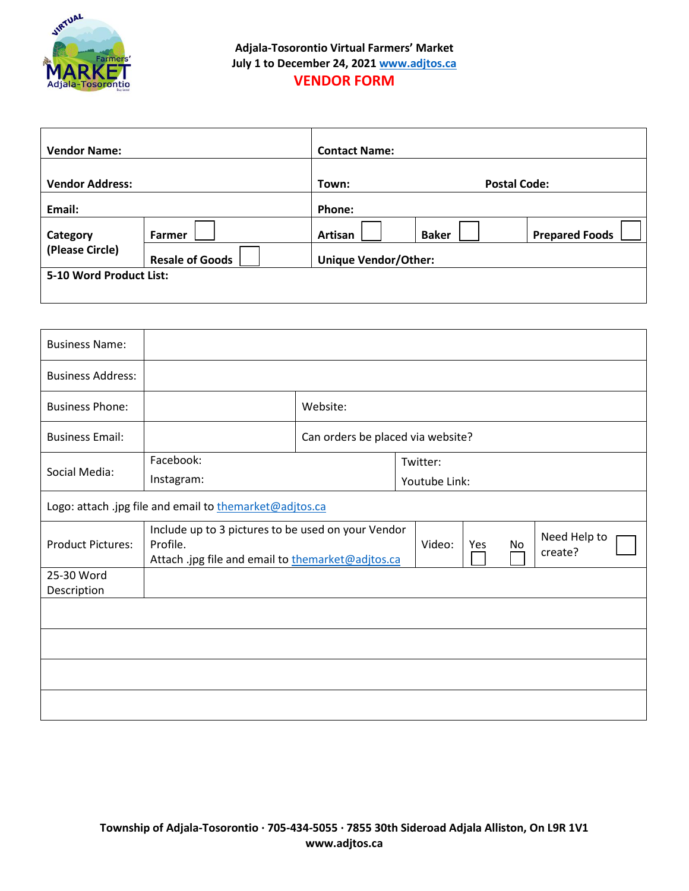

| <b>Vendor Name:</b>         |                        | <b>Contact Name:</b>        |                     |                       |  |
|-----------------------------|------------------------|-----------------------------|---------------------|-----------------------|--|
| <b>Vendor Address:</b>      |                        | Town:                       | <b>Postal Code:</b> |                       |  |
| Email:                      |                        | Phone:                      |                     |                       |  |
| Category<br>(Please Circle) | Farmer                 | Artisan                     | <b>Baker</b>        | <b>Prepared Foods</b> |  |
|                             | <b>Resale of Goods</b> | <b>Unique Vendor/Other:</b> |                     |                       |  |
| 5-10 Word Product List:     |                        |                             |                     |                       |  |
|                             |                        |                             |                     |                       |  |

| <b>Business Name:</b>                                   |                                                                                                                                                                       |                                   |               |  |  |  |
|---------------------------------------------------------|-----------------------------------------------------------------------------------------------------------------------------------------------------------------------|-----------------------------------|---------------|--|--|--|
| <b>Business Address:</b>                                |                                                                                                                                                                       |                                   |               |  |  |  |
| <b>Business Phone:</b>                                  |                                                                                                                                                                       | Website:                          |               |  |  |  |
| <b>Business Email:</b>                                  |                                                                                                                                                                       | Can orders be placed via website? |               |  |  |  |
|                                                         | Facebook:                                                                                                                                                             | Twitter:                          |               |  |  |  |
| Social Media:                                           | Instagram:                                                                                                                                                            |                                   | Youtube Link: |  |  |  |
| Logo: attach .jpg file and email to themarket@adjtos.ca |                                                                                                                                                                       |                                   |               |  |  |  |
| <b>Product Pictures:</b>                                | Include up to 3 pictures to be used on your Vendor<br>Need Help to<br>Profile.<br>Video:<br>No<br>Yes<br>create?<br>Attach .jpg file and email to themarket@adjtos.ca |                                   |               |  |  |  |
| 25-30 Word                                              |                                                                                                                                                                       |                                   |               |  |  |  |
| Description                                             |                                                                                                                                                                       |                                   |               |  |  |  |
|                                                         |                                                                                                                                                                       |                                   |               |  |  |  |
|                                                         |                                                                                                                                                                       |                                   |               |  |  |  |
|                                                         |                                                                                                                                                                       |                                   |               |  |  |  |
|                                                         |                                                                                                                                                                       |                                   |               |  |  |  |